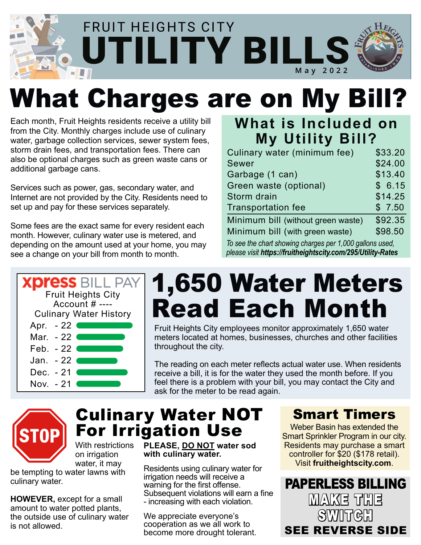

# What Charges are on My Bill?

Each month, Fruit Heights residents receive a utility bill from the City. Monthly charges include use of culinary water, garbage collection services, sewer system fees, storm drain fees, and transportation fees. There can also be optional charges such as green waste cans or additional garbage cans.

Services such as power, gas, secondary water, and Internet are not provided by the City. Residents need to set up and pay for these services separately.

Some fees are the exact same for every resident each month. However, culinary water use is metered, and depending on the amount used at your home, you may see a change on your bill from month to month.



# 1,650 Water Meters Read Each Month

Culinary water (minimum fee) \$33.20 Sewer \$24.00 Garbage (1 can) \$13.40 Green waste (optional)  $$6.15$ Storm drain \$14.25 Transportation fee  $$7.50$ 

*To see the chart showing charges per 1,000 gallons used, please visit https://fruitheightscity.com/295/Utility-Rates*

Minimum bill (without green waste) \$92.35 Minimum bill (with green waste) \$98.50

**My Utility Bill?**

**What is Included on**

Fruit Heights City employees monitor approximately 1,650 water meters located at homes, businesses, churches and other facilities throughout the city.

The reading on each meter reflects actual water use. When residents receive a bill, it is for the water they used the month before. If you feel there is a problem with your bill, you may contact the City and ask for the meter to be read again.



## Culinary Water NOT For Irrigation Use

With restrictions on irrigation water, it may

be tempting to water lawns with culinary water.

**HOWEVER,** except for a small amount to water potted plants, the outside use of culinary water is not allowed.

#### **PLEASE, DO NOT water sod with culinary water.**

Residents using culinary water for irrigation needs will receive a warning for the first offense. Subsequent violations will earn a fine - increasing with each violation.

We appreciate everyone's cooperation as we all work to become more drought tolerant.

### Smart Timers

Weber Basin has extended the Smart Sprinkler Program in our city. Residents may purchase a smart controller for \$20 (\$178 retail). Visit **fruitheightscity.com**.